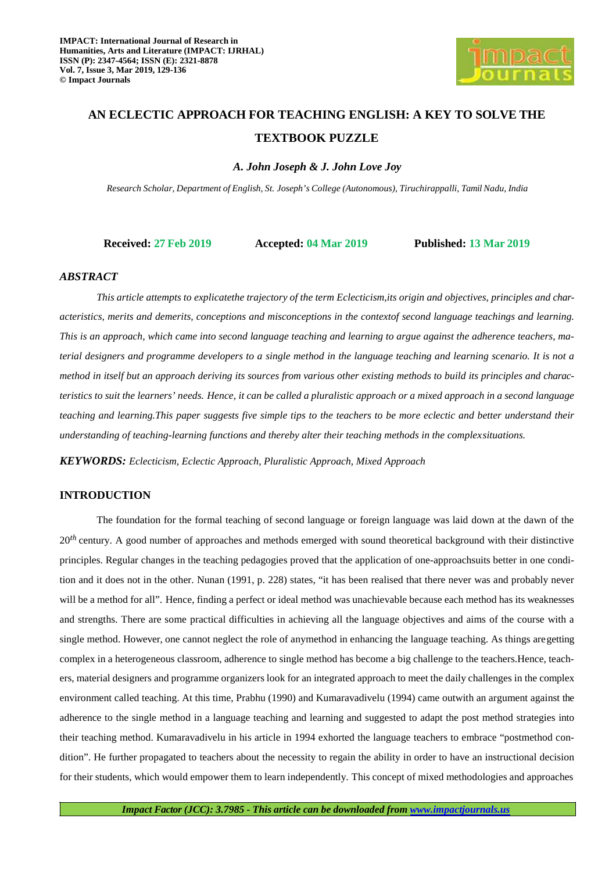

# **AN ECLECTIC APPROACH FOR TEACHING ENGLISH: A KEY TO SOLVE THE TEXTBOOK PUZZLE**

*A. John Joseph & J. John Love Joy* 

*Research Scholar, Department of English, St. Joseph's College (Autonomous), Tiruchirappalli, Tamil Nadu, India* 

**Received: 27 Feb 2019 Accepted: 04 Mar 2019 Published: 13 Mar 2019**

### *ABSTRACT*

*This article attempts to explicatethe trajectory of the term Eclecticism,its origin and objectives, principles and characteristics, merits and demerits, conceptions and misconceptions in the contextof second language teachings and learning. This is an approach, which came into second language teaching and learning to argue against the adherence teachers, material designers and programme developers to a single method in the language teaching and learning scenario. It is not a method in itself but an approach deriving its sources from various other existing methods to build its principles and characteristics to suit the learners' needs. Hence, it can be called a pluralistic approach or a mixed approach in a second language teaching and learning.This paper suggests five simple tips to the teachers to be more eclectic and better understand their understanding of teaching-learning functions and thereby alter their teaching methods in the complex situations.* 

*KEYWORDS: Eclecticism, Eclectic Approach, Pluralistic Approach, Mixed Approach* 

## **INTRODUCTION**

The foundation for the formal teaching of second language or foreign language was laid down at the dawn of the 20<sup>th</sup> century. A good number of approaches and methods emerged with sound theoretical background with their distinctive principles. Regular changes in the teaching pedagogies proved that the application of one-approachsuits better in one condition and it does not in the other. Nunan (1991, p. 228) states, "it has been realised that there never was and probably never will be a method for all". Hence, finding a perfect or ideal method was unachievable because each method has its weaknesses and strengths. There are some practical difficulties in achieving all the language objectives and aims of the course with a single method. However, one cannot neglect the role of anymethod in enhancing the language teaching. As things are getting complex in a heterogeneous classroom, adherence to single method has become a big challenge to the teachers.Hence, teachers, material designers and programme organizers look for an integrated approach to meet the daily challenges in the complex environment called teaching. At this time, Prabhu (1990) and Kumaravadivelu (1994) came outwith an argument against the adherence to the single method in a language teaching and learning and suggested to adapt the post method strategies into their teaching method. Kumaravadivelu in his article in 1994 exhorted the language teachers to embrace "postmethod condition". He further propagated to teachers about the necessity to regain the ability in order to have an instructional decision for their students, which would empower them to learn independently. This concept of mixed methodologies and approaches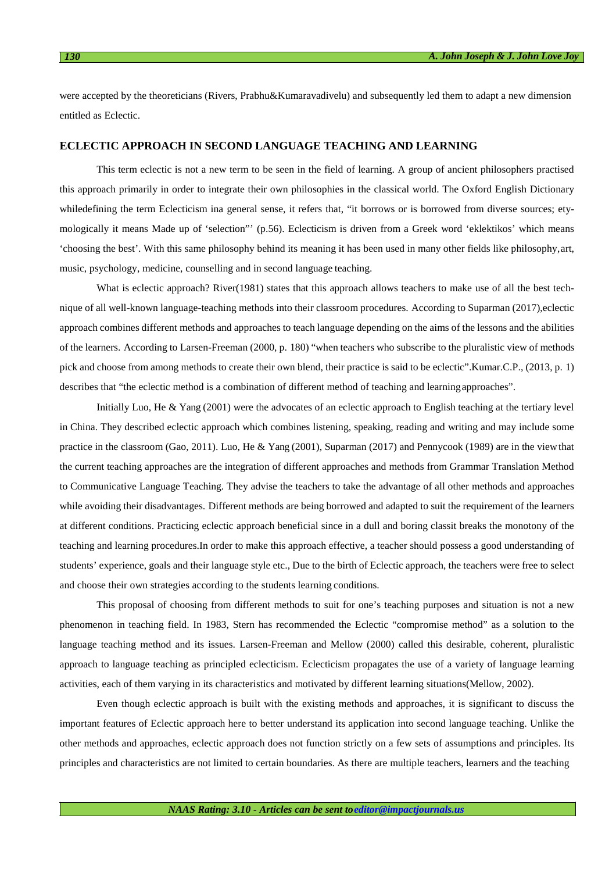were accepted by the theoreticians (Rivers, Prabhu&Kumaravadivelu) and subsequently led them to adapt a new dimension entitled as Eclectic.

## **ECLECTIC APPROACH IN SECOND LANGUAGE TEACHING AND LEARNING**

This term eclectic is not a new term to be seen in the field of learning. A group of ancient philosophers practised this approach primarily in order to integrate their own philosophies in the classical world. The Oxford English Dictionary whiledefining the term Eclecticism ina general sense, it refers that, "it borrows or is borrowed from diverse sources; etymologically it means Made up of 'selection"' (p.56). Eclecticism is driven from a Greek word 'eklektikos' which means 'choosing the best'. With this same philosophy behind its meaning it has been used in many other fields like philosophy, art, music, psychology, medicine, counselling and in second language teaching.

What is eclectic approach? River(1981) states that this approach allows teachers to make use of all the best technique of all well-known language-teaching methods into their classroom procedures. According to Suparman (2017),eclectic approach combines different methods and approaches to teach language depending on the aims of the lessons and the abilities of the learners. According to Larsen-Freeman (2000, p. 180) "when teachers who subscribe to the pluralistic view of methods pick and choose from among methods to create their own blend, their practice is said to be eclectic".Kumar.C.P., (2013, p. 1) describes that "the eclectic method is a combination of different method of teaching and learning approaches".

Initially Luo, He & Yang (2001) were the advocates of an eclectic approach to English teaching at the tertiary level in China. They described eclectic approach which combines listening, speaking, reading and writing and may include some practice in the classroom (Gao, 2011). Luo, He & Yang (2001), Suparman (2017) and Pennycook (1989) are in the view that the current teaching approaches are the integration of different approaches and methods from Grammar Translation Method to Communicative Language Teaching. They advise the teachers to take the advantage of all other methods and approaches while avoiding their disadvantages. Different methods are being borrowed and adapted to suit the requirement of the learners at different conditions. Practicing eclectic approach beneficial since in a dull and boring classit breaks the monotony of the teaching and learning procedures.In order to make this approach effective, a teacher should possess a good understanding of students' experience, goals and their language style etc., Due to the birth of Eclectic approach, the teachers were free to select and choose their own strategies according to the students learning conditions.

This proposal of choosing from different methods to suit for one's teaching purposes and situation is not a new phenomenon in teaching field. In 1983, Stern has recommended the Eclectic "compromise method" as a solution to the language teaching method and its issues. Larsen-Freeman and Mellow (2000) called this desirable, coherent, pluralistic approach to language teaching as principled eclecticism. Eclecticism propagates the use of a variety of language learning activities, each of them varying in its characteristics and motivated by different learning situations(Mellow, 2002).

Even though eclectic approach is built with the existing methods and approaches, it is significant to discuss the important features of Eclectic approach here to better understand its application into second language teaching. Unlike the other methods and approaches, eclectic approach does not function strictly on a few sets of assumptions and principles. Its principles and characteristics are not limited to certain boundaries. As there are multiple teachers, learners and the teaching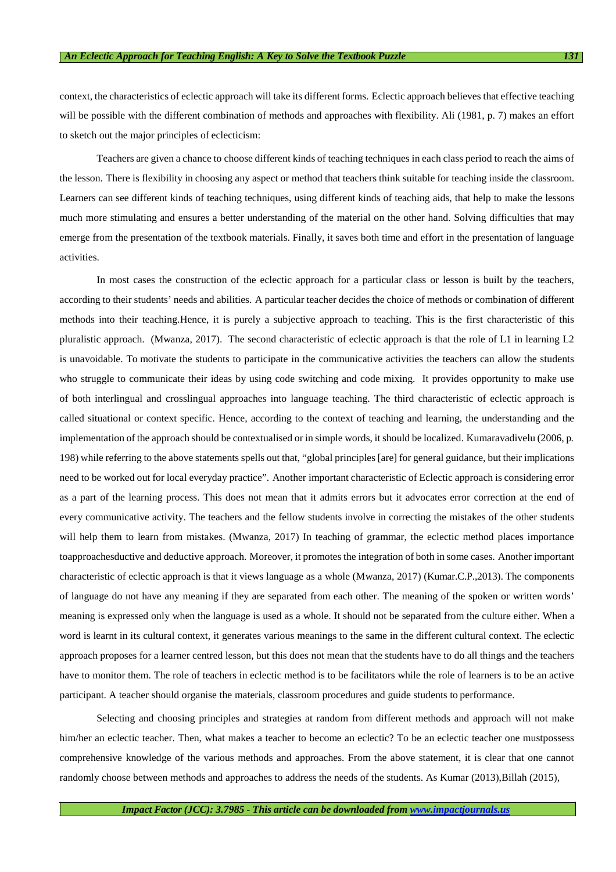context, the characteristics of eclectic approach will take its different forms. Eclectic approach believes that effective teaching will be possible with the different combination of methods and approaches with flexibility. Ali (1981, p. 7) makes an effort to sketch out the major principles of eclecticism:

Teachers are given a chance to choose different kinds of teaching techniques in each class period to reach the aims of the lesson. There is flexibility in choosing any aspect or method that teachers think suitable for teaching inside the classroom. Learners can see different kinds of teaching techniques, using different kinds of teaching aids, that help to make the lessons much more stimulating and ensures a better understanding of the material on the other hand. Solving difficulties that may emerge from the presentation of the textbook materials. Finally, it saves both time and effort in the presentation of language activities.

In most cases the construction of the eclectic approach for a particular class or lesson is built by the teachers, according to their students' needs and abilities. A particular teacher decides the choice of methods or combination of different methods into their teaching.Hence, it is purely a subjective approach to teaching. This is the first characteristic of this pluralistic approach. (Mwanza, 2017). The second characteristic of eclectic approach is that the role of L1 in learning L2 is unavoidable. To motivate the students to participate in the communicative activities the teachers can allow the students who struggle to communicate their ideas by using code switching and code mixing. It provides opportunity to make use of both interlingual and crosslingual approaches into language teaching. The third characteristic of eclectic approach is called situational or context specific. Hence, according to the context of teaching and learning, the understanding and the implementation of the approach should be contextualised or in simple words, it should be localized. Kumaravadivelu (2006, p. 198) while referring to the above statements spells out that, "global principles [are] for general guidance, but their implications need to be worked out for local everyday practice". Another important characteristic of Eclectic approach is considering error as a part of the learning process. This does not mean that it admits errors but it advocates error correction at the end of every communicative activity. The teachers and the fellow students involve in correcting the mistakes of the other students will help them to learn from mistakes. (Mwanza, 2017) In teaching of grammar, the eclectic method places importance toapproachesductive and deductive approach. Moreover, it promotes the integration of both in some cases. Another important characteristic of eclectic approach is that it views language as a whole (Mwanza, 2017) (Kumar.C.P.,2013). The components of language do not have any meaning if they are separated from each other. The meaning of the spoken or written words' meaning is expressed only when the language is used as a whole. It should not be separated from the culture either. When a word is learnt in its cultural context, it generates various meanings to the same in the different cultural context. The eclectic approach proposes for a learner centred lesson, but this does not mean that the students have to do all things and the teachers have to monitor them. The role of teachers in eclectic method is to be facilitators while the role of learners is to be an active participant. A teacher should organise the materials, classroom procedures and guide students to performance.

Selecting and choosing principles and strategies at random from different methods and approach will not make him/her an eclectic teacher. Then, what makes a teacher to become an eclectic? To be an eclectic teacher one mustpossess comprehensive knowledge of the various methods and approaches. From the above statement, it is clear that one cannot randomly choose between methods and approaches to address the needs of the students. As Kumar (2013), Billah (2015),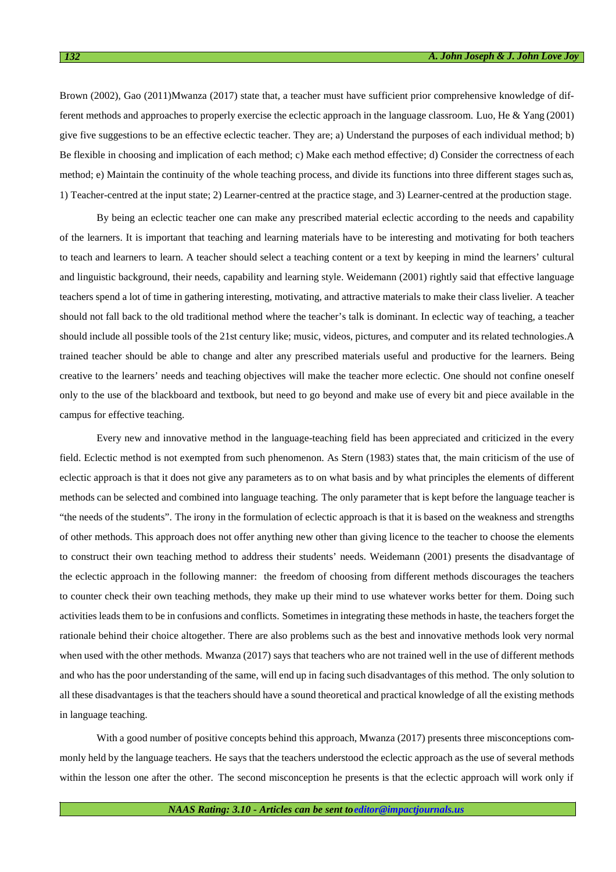Brown (2002), Gao (2011)Mwanza (2017) state that, a teacher must have sufficient prior comprehensive knowledge of different methods and approaches to properly exercise the eclectic approach in the language classroom. Luo, He & Yang (2001) give five suggestions to be an effective eclectic teacher. They are; a) Understand the purposes of each individual method; b) Be flexible in choosing and implication of each method; c) Make each method effective; d) Consider the correctness of each method; e) Maintain the continuity of the whole teaching process, and divide its functions into three different stages such as, 1) Teacher-centred at the input state; 2) Learner-centred at the practice stage, and 3) Learner-centred at the production stage.

By being an eclectic teacher one can make any prescribed material eclectic according to the needs and capability of the learners. It is important that teaching and learning materials have to be interesting and motivating for both teachers to teach and learners to learn. A teacher should select a teaching content or a text by keeping in mind the learners' cultural and linguistic background, their needs, capability and learning style. Weidemann (2001) rightly said that effective language teachers spend a lot of time in gathering interesting, motivating, and attractive materials to make their class livelier. A teacher should not fall back to the old traditional method where the teacher's talk is dominant. In eclectic way of teaching, a teacher should include all possible tools of the 21st century like; music, videos, pictures, and computer and its related technologies.A trained teacher should be able to change and alter any prescribed materials useful and productive for the learners. Being creative to the learners' needs and teaching objectives will make the teacher more eclectic. One should not confine oneself only to the use of the blackboard and textbook, but need to go beyond and make use of every bit and piece available in the campus for effective teaching.

Every new and innovative method in the language-teaching field has been appreciated and criticized in the every field. Eclectic method is not exempted from such phenomenon. As Stern (1983) states that, the main criticism of the use of eclectic approach is that it does not give any parameters as to on what basis and by what principles the elements of different methods can be selected and combined into language teaching. The only parameter that is kept before the language teacher is "the needs of the students". The irony in the formulation of eclectic approach is that it is based on the weakness and strengths of other methods. This approach does not offer anything new other than giving licence to the teacher to choose the elements to construct their own teaching method to address their students' needs. Weidemann (2001) presents the disadvantage of the eclectic approach in the following manner: the freedom of choosing from different methods discourages the teachers to counter check their own teaching methods, they make up their mind to use whatever works better for them. Doing such activities leads them to be in confusions and conflicts. Sometimes in integrating these methods in haste, the teachers forget the rationale behind their choice altogether. There are also problems such as the best and innovative methods look very normal when used with the other methods. Mwanza (2017) says that teachers who are not trained well in the use of different methods and who has the poor understanding of the same, will end up in facing such disadvantages of this method. The only solution to all these disadvantages is that the teachers should have a sound theoretical and practical knowledge of all the existing methods in language teaching.

With a good number of positive concepts behind this approach, Mwanza (2017) presents three misconceptions commonly held by the language teachers. He says that the teachers understood the eclectic approach as the use of several methods within the lesson one after the other. The second misconception he presents is that the eclectic approach will work only if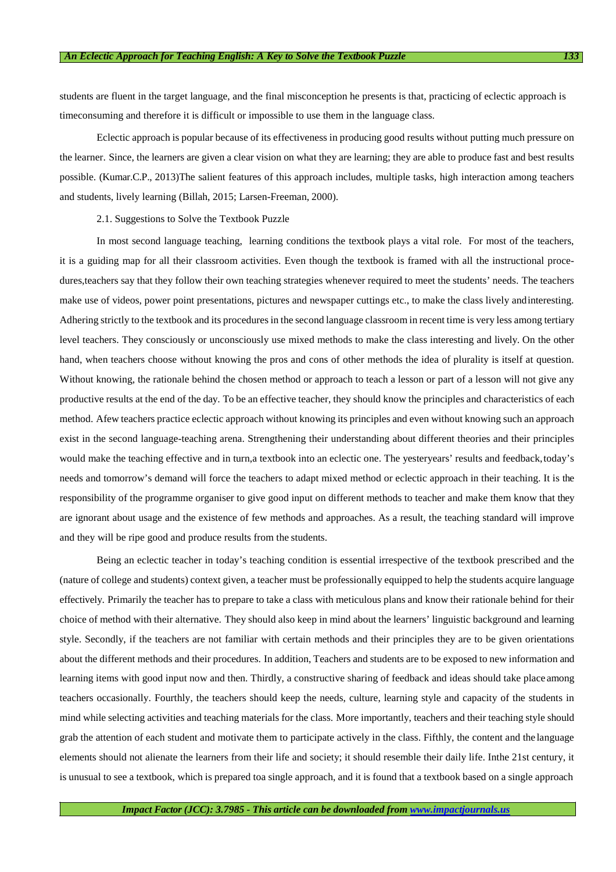students are fluent in the target language, and the final misconception he presents is that, practicing of eclectic approach is timeconsuming and therefore it is difficult or impossible to use them in the language class.

Eclectic approach is popular because of its effectiveness in producing good results without putting much pressure on the learner. Since, the learners are given a clear vision on what they are learning; they are able to produce fast and best results possible. (Kumar.C.P., 2013)The salient features of this approach includes, multiple tasks, high interaction among teachers and students, lively learning (Billah, 2015; Larsen-Freeman, 2000).

#### 2.1. Suggestions to Solve the Textbook Puzzle

In most second language teaching, learning conditions the textbook plays a vital role. For most of the teachers, it is a guiding map for all their classroom activities. Even though the textbook is framed with all the instructional procedures,teachers say that they follow their own teaching strategies whenever required to meet the students' needs. The teachers make use of videos, power point presentations, pictures and newspaper cuttings etc., to make the class lively and interesting. Adhering strictly to the textbook and its procedures in the second language classroom in recent time is very less among tertiary level teachers. They consciously or unconsciously use mixed methods to make the class interesting and lively. On the other hand, when teachers choose without knowing the pros and cons of other methods the idea of plurality is itself at question. Without knowing, the rationale behind the chosen method or approach to teach a lesson or part of a lesson will not give any productive results at the end of the day. To be an effective teacher, they should know the principles and characteristics of each method. Afew teachers practice eclectic approach without knowing its principles and even without knowing such an approach exist in the second language-teaching arena. Strengthening their understanding about different theories and their principles would make the teaching effective and in turn,a textbook into an eclectic one. The yesteryears' results and feedback, today's needs and tomorrow's demand will force the teachers to adapt mixed method or eclectic approach in their teaching. It is the responsibility of the programme organiser to give good input on different methods to teacher and make them know that they are ignorant about usage and the existence of few methods and approaches. As a result, the teaching standard will improve and they will be ripe good and produce results from the students.

Being an eclectic teacher in today's teaching condition is essential irrespective of the textbook prescribed and the (nature of college and students) context given, a teacher must be professionally equipped to help the students acquire language effectively. Primarily the teacher has to prepare to take a class with meticulous plans and know their rationale behind for their choice of method with their alternative. They should also keep in mind about the learners' linguistic background and learning style. Secondly, if the teachers are not familiar with certain methods and their principles they are to be given orientations about the different methods and their procedures. In addition, Teachers and students are to be exposed to new information and learning items with good input now and then. Thirdly, a constructive sharing of feedback and ideas should take place among teachers occasionally. Fourthly, the teachers should keep the needs, culture, learning style and capacity of the students in mind while selecting activities and teaching materials for the class. More importantly, teachers and their teaching style should grab the attention of each student and motivate them to participate actively in the class. Fifthly, the content and the language elements should not alienate the learners from their life and society; it should resemble their daily life. Inthe 21st century, it is unusual to see a textbook, which is prepared toa single approach, and it is found that a textbook based on a single approach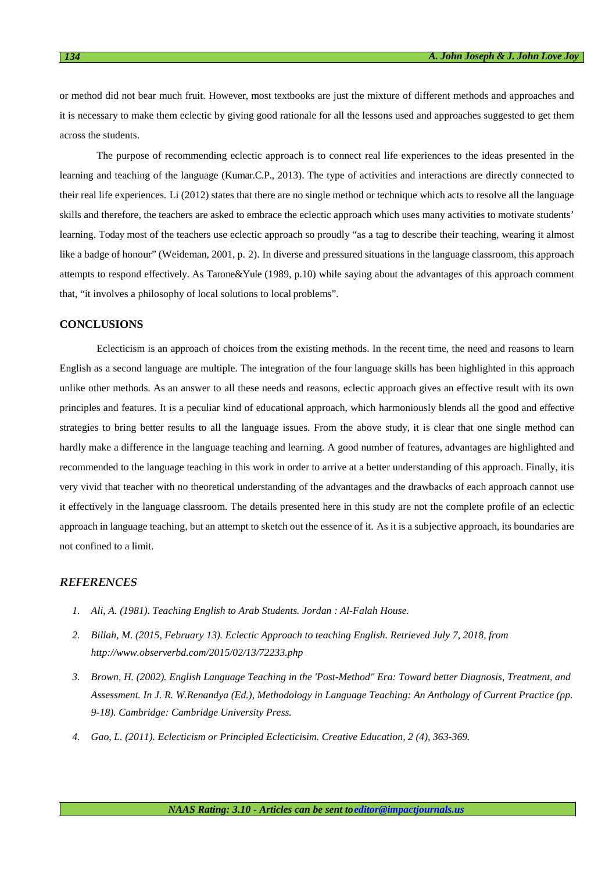or method did not bear much fruit. However, most textbooks are just the mixture of different methods and approaches and it is necessary to make them eclectic by giving good rationale for all the lessons used and approaches suggested to get them across the students.

The purpose of recommending eclectic approach is to connect real life experiences to the ideas presented in the learning and teaching of the language (Kumar.C.P., 2013). The type of activities and interactions are directly connected to their real life experiences. Li (2012) states that there are no single method or technique which acts to resolve all the language skills and therefore, the teachers are asked to embrace the eclectic approach which uses many activities to motivate students' learning. Today most of the teachers use eclectic approach so proudly "as a tag to describe their teaching, wearing it almost like a badge of honour" (Weideman, 2001, p. 2). In diverse and pressured situations in the language classroom, this approach attempts to respond effectively. As Tarone&Yule (1989, p.10) while saying about the advantages of this approach comment that, "it involves a philosophy of local solutions to local problems".

## **CONCLUSIONS**

Eclecticism is an approach of choices from the existing methods. In the recent time, the need and reasons to learn English as a second language are multiple. The integration of the four language skills has been highlighted in this approach unlike other methods. As an answer to all these needs and reasons, eclectic approach gives an effective result with its own principles and features. It is a peculiar kind of educational approach, which harmoniously blends all the good and effective strategies to bring better results to all the language issues. From the above study, it is clear that one single method can hardly make a difference in the language teaching and learning. A good number of features, advantages are highlighted and recommended to the language teaching in this work in order to arrive at a better understanding of this approach. Finally, it is very vivid that teacher with no theoretical understanding of the advantages and the drawbacks of each approach cannot use it effectively in the language classroom. The details presented here in this study are not the complete profile of an eclectic approach in language teaching, but an attempt to sketch out the essence of it. As it is a subjective approach, its boundaries are not confined to a limit.

## *REFERENCES*

- *1. Ali, A. (1981). Teaching English to Arab Students. Jordan : Al-Falah House.*
- *2. Billah, M. (2015, February 13). Eclectic Approach to teaching English. Retrieved July 7, 2018, from http://www.observerbd.com/2015/02/13/72233.php*
- *3. Brown, H. (2002). English Language Teaching in the 'Post-Method" Era: Toward better Diagnosis, Treatment, and Assessment. In J. R. W.Renandya (Ed.), Methodology in Language Teaching: An Anthology of Current Practice (pp. 9-18). Cambridge: Cambridge University Press.*
- *4. Gao, L. (2011). Eclecticism or Principled Eclecticisim. Creative Education, 2 (4), 363-369.*